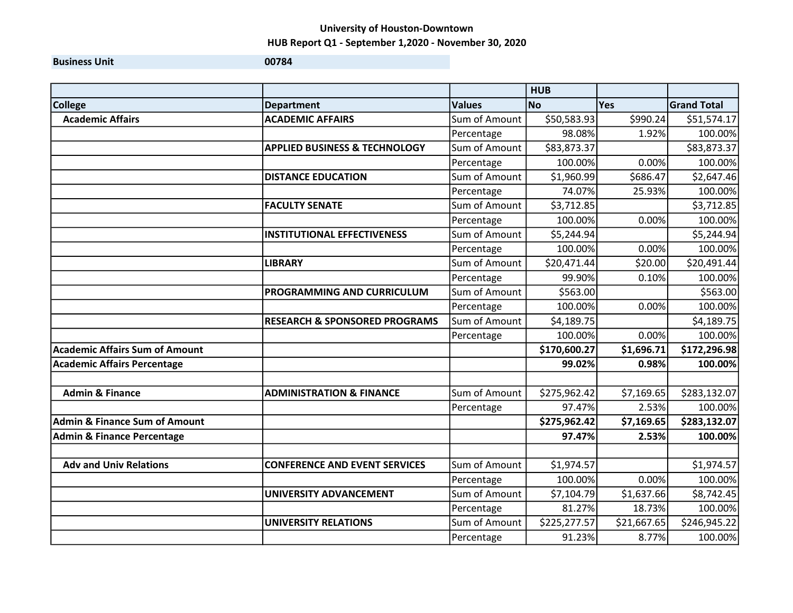Business Unit **Districts CONVICED AND THE UNITED STATES OF A SET OF A SET OF A SET OF A SET OF A SET OF A SET OF A SET OF A SET OF A SET OF A SET OF A SET OF A SET OF A SET OF A SET OF A SET OF A SET OF A SET OF A SET OF** 

**HUB** College **Department** | Department | Values | No Yes Grand Total Academic Affairs **Acabemic Academic Affairs** ACADEMIC AFFAIRS **Academic Affairs** \$990.24 \$51,574.17 Percentage | 98.08% 1.92% 100.00% APPLIED BUSINESS & TECHNOLOGY | Sum of Amount | \$83,873.37 | \$83,873.37 Percentage | 100.00% 0.00% 100.00% **DISTANCE EDUCATION** Sum of Amount  $\begin{bmatrix} 51,960.99 \end{bmatrix}$  \$686.47 \$2,647.46 Percentage | 74.07% 25.93% 100.00% FACULTY SENATE Sum of Amount \$3,712.85 \$3,712.85 Percentage | 100.00% 0.00% 100.00%  $\textsf{INSTITUTIONAL}\ \textsf{EFFECTIVENESS} \textcolor{red}{|} \textsf{Sum of Amount} \textcolor{red}{|} \textcolor{red}{|} \textsf{55,244.94} \textcolor{red}{|} \textsf{55,244.94}$ Percentage | 100.00% 0.00% 100.00%  $\textsf{LIBRARY} \quad \text{(Sum of Amount} \quad \text{(1)} \quad \text{(20,471.44)} \quad \text{(20,00)} \quad \text{(20,491.44)}$ Percentage | 99.90% 0.10% 100.00% PROGRAMMING AND CURRICULUM Sum of Amount | \$563.00 | \$563.00 Percentage | 100.00% 0.00% 100.00% RESEARCH & SPONSORED PROGRAMS Sum of Amount | \$4,189.75 \$4,189.75 \$4,189.75 Percentage | 100.00% 0.00% 100.00% Academic Affairs Sum of Amount \$170,600.27 \$1,696.71 \$172,296.98 Academic Affairs Percentage **100.00%** 100.00% 100.00% 100.00% 100.00% 100.00% 100.00% 100.00% 100.00% 100.00% 10 Admin & Finance ADMINISTRATION & FINANCE Sum of Amount | \$275,962.42 \$7,169.65 \$283,132.07 Percentage | 97.47% 2.53% 100.00% Admin & Finance Sum of Amount 2018 . And the state of the state of the state of the state of the state of the state of the state of the state of the state of the state of the state of the state of the state of the state of Admin & Finance Percentage 97.47% 2.53% 100.00% Adv and Univ Relations **CONFERENCE AND EVENT SERVICES** Sum of Amount | \$1,974.57 \$1,974.57 Percentage | 100.00% 0.00% 100.00% UNIVERSITY ADVANCEMENT  $\vert$  Sum of Amount  $\vert$  \$7,104.79  $\vert$  \$1,637.66 \$8,742.45 Percentage | 81.27% 18.73% 100.00% UNIVERSITY RELATIONS Sum of Amount  $\begin{bmatrix} 5225,277.57 \end{bmatrix}$   $\begin{bmatrix} 521,667.65 \end{bmatrix}$  \$246,945.22 Percentage | 91.23% 8.77% 100.00%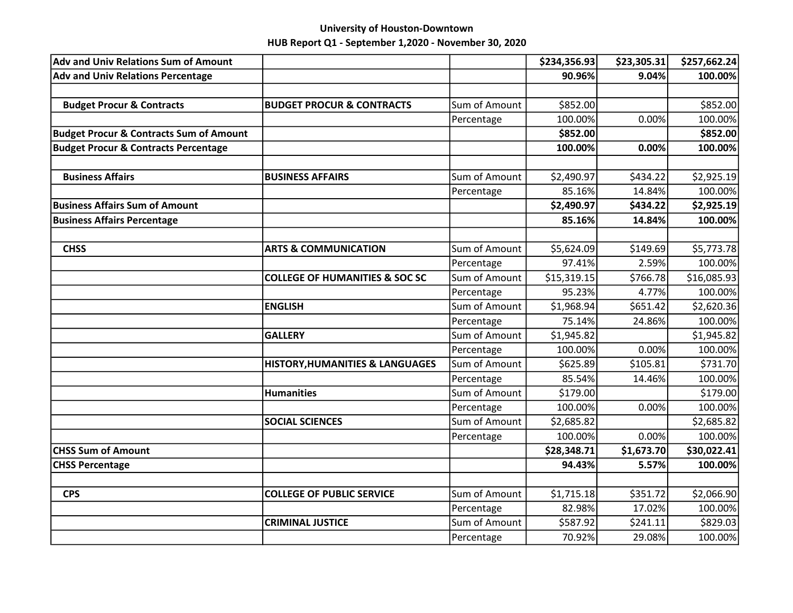| <b>Adv and Univ Relations Sum of Amount</b>        |                                            |               | \$234,356.93 | \$23,305.31 | \$257,662.24 |
|----------------------------------------------------|--------------------------------------------|---------------|--------------|-------------|--------------|
| <b>Adv and Univ Relations Percentage</b>           |                                            |               | 90.96%       | 9.04%       | 100.00%      |
|                                                    |                                            |               |              |             |              |
| <b>Budget Procur &amp; Contracts</b>               | <b>BUDGET PROCUR &amp; CONTRACTS</b>       | Sum of Amount | \$852.00     |             | \$852.00     |
|                                                    |                                            | Percentage    | 100.00%      | 0.00%       | 100.00%      |
| <b>Budget Procur &amp; Contracts Sum of Amount</b> |                                            |               | \$852.00     |             | \$852.00     |
| <b>Budget Procur &amp; Contracts Percentage</b>    |                                            |               | 100.00%      | 0.00%       | 100.00%      |
| <b>Business Affairs</b>                            | <b>BUSINESS AFFAIRS</b>                    | Sum of Amount | \$2,490.97   | \$434.22    | \$2,925.19   |
|                                                    |                                            | Percentage    | 85.16%       | 14.84%      | 100.00%      |
| <b>Business Affairs Sum of Amount</b>              |                                            |               | \$2,490.97   | \$434.22    | \$2,925.19   |
| <b>Business Affairs Percentage</b>                 |                                            |               | 85.16%       | 14.84%      | 100.00%      |
|                                                    |                                            |               |              |             |              |
| <b>CHSS</b>                                        | <b>ARTS &amp; COMMUNICATION</b>            | Sum of Amount | \$5,624.09   | \$149.69    | \$5,773.78   |
|                                                    |                                            | Percentage    | 97.41%       | 2.59%       | 100.00%      |
|                                                    | <b>COLLEGE OF HUMANITIES &amp; SOC SC</b>  | Sum of Amount | \$15,319.15  | \$766.78    | \$16,085.93  |
|                                                    |                                            | Percentage    | 95.23%       | 4.77%       | 100.00%      |
|                                                    | <b>ENGLISH</b>                             | Sum of Amount | \$1,968.94   | \$651.42    | \$2,620.36   |
|                                                    |                                            | Percentage    | 75.14%       | 24.86%      | 100.00%      |
|                                                    | <b>GALLERY</b>                             | Sum of Amount | \$1,945.82   |             | \$1,945.82   |
|                                                    |                                            | Percentage    | 100.00%      | 0.00%       | 100.00%      |
|                                                    | <b>HISTORY, HUMANITIES &amp; LANGUAGES</b> | Sum of Amount | \$625.89     | \$105.81    | \$731.70     |
|                                                    |                                            | Percentage    | 85.54%       | 14.46%      | 100.00%      |
|                                                    | <b>Humanities</b>                          | Sum of Amount | \$179.00     |             | \$179.00     |
|                                                    |                                            | Percentage    | 100.00%      | 0.00%       | 100.00%      |
|                                                    | <b>SOCIAL SCIENCES</b>                     | Sum of Amount | \$2,685.82   |             | \$2,685.82   |
|                                                    |                                            | Percentage    | 100.00%      | 0.00%       | 100.00%      |
| <b>CHSS Sum of Amount</b>                          |                                            |               | \$28,348.71  | \$1,673.70  | \$30,022.41  |
| <b>CHSS Percentage</b>                             |                                            |               | 94.43%       | 5.57%       | 100.00%      |
|                                                    |                                            |               |              |             |              |
| <b>CPS</b>                                         | <b>COLLEGE OF PUBLIC SERVICE</b>           | Sum of Amount | \$1,715.18   | \$351.72    | \$2,066.90   |
|                                                    |                                            | Percentage    | 82.98%       | 17.02%      | 100.00%      |
|                                                    | <b>CRIMINAL JUSTICE</b>                    | Sum of Amount | \$587.92     | \$241.11    | \$829.03     |
|                                                    |                                            | Percentage    | 70.92%       | 29.08%      | 100.00%      |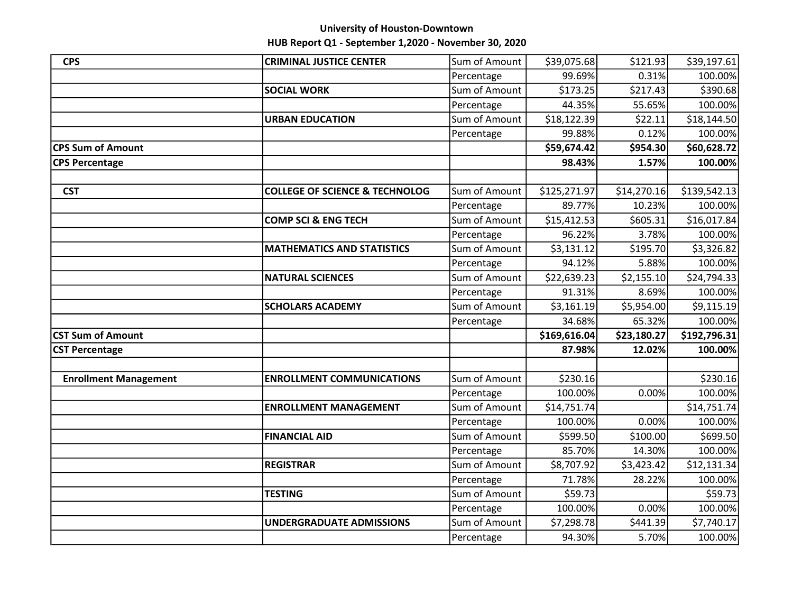| <b>CPS</b>                   | <b>CRIMINAL JUSTICE CENTER</b>            | Sum of Amount | \$39,075.68  | \$121.93    | \$39,197.61  |
|------------------------------|-------------------------------------------|---------------|--------------|-------------|--------------|
|                              |                                           | Percentage    | 99.69%       | 0.31%       | 100.00%      |
|                              | <b>SOCIAL WORK</b>                        | Sum of Amount | \$173.25     | 5217.43     | \$390.68     |
|                              |                                           | Percentage    | 44.35%       | 55.65%      | 100.00%      |
|                              | <b>URBAN EDUCATION</b>                    | Sum of Amount | \$18,122.39  | \$22.11     | \$18,144.50  |
|                              |                                           | Percentage    | 99.88%       | 0.12%       | 100.00%      |
| <b>CPS Sum of Amount</b>     |                                           |               | \$59,674.42  | \$954.30    | \$60,628.72  |
| <b>CPS Percentage</b>        |                                           |               | 98.43%       | 1.57%       | 100.00%      |
|                              |                                           |               |              |             |              |
| <b>CST</b>                   | <b>COLLEGE OF SCIENCE &amp; TECHNOLOG</b> | Sum of Amount | \$125,271.97 | \$14,270.16 | \$139,542.13 |
|                              |                                           | Percentage    | 89.77%       | 10.23%      | 100.00%      |
|                              | <b>COMP SCI &amp; ENG TECH</b>            | Sum of Amount | \$15,412.53  | \$605.31    | \$16,017.84  |
|                              |                                           | Percentage    | 96.22%       | 3.78%       | 100.00%      |
|                              | <b>MATHEMATICS AND STATISTICS</b>         | Sum of Amount | \$3,131.12   | \$195.70    | \$3,326.82   |
|                              |                                           | Percentage    | 94.12%       | 5.88%       | 100.00%      |
|                              | <b>NATURAL SCIENCES</b>                   | Sum of Amount | \$22,639.23  | \$2,155.10  | \$24,794.33  |
|                              |                                           | Percentage    | 91.31%       | 8.69%       | 100.00%      |
|                              | <b>SCHOLARS ACADEMY</b>                   | Sum of Amount | \$3,161.19   | \$5,954.00  | \$9,115.19   |
|                              |                                           | Percentage    | 34.68%       | 65.32%      | 100.00%      |
| <b>CST Sum of Amount</b>     |                                           |               | \$169,616.04 | \$23,180.27 | \$192,796.31 |
| <b>CST Percentage</b>        |                                           |               | 87.98%       | 12.02%      | 100.00%      |
|                              |                                           |               |              |             |              |
| <b>Enrollment Management</b> | <b>ENROLLMENT COMMUNICATIONS</b>          | Sum of Amount | \$230.16     |             | \$230.16     |
|                              |                                           | Percentage    | 100.00%      | 0.00%       | 100.00%      |
|                              | <b>ENROLLMENT MANAGEMENT</b>              | Sum of Amount | \$14,751.74  |             | \$14,751.74  |
|                              |                                           | Percentage    | 100.00%      | 0.00%       | 100.00%      |
|                              | <b>FINANCIAL AID</b>                      | Sum of Amount | \$599.50     | \$100.00    | \$699.50     |
|                              |                                           | Percentage    | 85.70%       | 14.30%      | 100.00%      |
|                              | <b>REGISTRAR</b>                          | Sum of Amount | \$8,707.92   | \$3,423.42  | \$12,131.34  |
|                              |                                           | Percentage    | 71.78%       | 28.22%      | 100.00%      |
|                              | <b>TESTING</b>                            | Sum of Amount | \$59.73      |             | \$59.73      |
|                              |                                           | Percentage    | 100.00%      | 0.00%       | 100.00%      |
|                              | <b>UNDERGRADUATE ADMISSIONS</b>           | Sum of Amount | \$7,298.78   | \$441.39    | \$7,740.17   |
|                              |                                           | Percentage    | 94.30%       | 5.70%       | 100.00%      |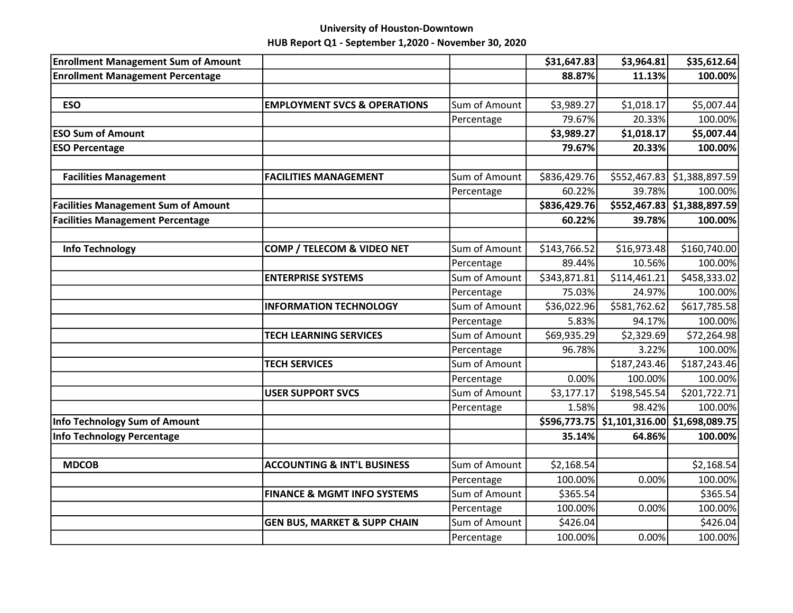| <b>Enrollment Management Sum of Amount</b> |                                         |               | \$31,647.83  | \$3,964.81   | \$35,612.64                     |
|--------------------------------------------|-----------------------------------------|---------------|--------------|--------------|---------------------------------|
| <b>Enrollment Management Percentage</b>    |                                         |               | 88.87%       | 11.13%       | 100.00%                         |
|                                            |                                         |               |              |              |                                 |
| <b>ESO</b>                                 | <b>EMPLOYMENT SVCS &amp; OPERATIONS</b> | Sum of Amount | \$3,989.27   | \$1,018.17   | \$5,007.44                      |
|                                            |                                         | Percentage    | 79.67%       | 20.33%       | 100.00%                         |
| <b>ESO Sum of Amount</b>                   |                                         |               | \$3,989.27   | \$1,018.17   | \$5,007.44                      |
| <b>ESO Percentage</b>                      |                                         |               | 79.67%       | 20.33%       | 100.00%                         |
| <b>Facilities Management</b>               | <b>FACILITIES MANAGEMENT</b>            | Sum of Amount | \$836,429.76 |              | \$552,467.83 \$1,388,897.59     |
|                                            |                                         | Percentage    | 60.22%       | 39.78%       | 100.00%                         |
| <b>Facilities Management Sum of Amount</b> |                                         |               | \$836,429.76 |              | \$552,467.83 \$1,388,897.59     |
| <b>Facilities Management Percentage</b>    |                                         |               | 60.22%       | 39.78%       | 100.00%                         |
|                                            |                                         |               |              |              |                                 |
| <b>Info Technology</b>                     | COMP / TELECOM & VIDEO NET              | Sum of Amount | \$143,766.52 | \$16,973.48  | \$160,740.00                    |
|                                            |                                         | Percentage    | 89.44%       | 10.56%       | 100.00%                         |
|                                            | <b>ENTERPRISE SYSTEMS</b>               | Sum of Amount | \$343,871.81 | \$114,461.21 | \$458,333.02                    |
|                                            |                                         | Percentage    | 75.03%       | 24.97%       | 100.00%                         |
|                                            | <b>INFORMATION TECHNOLOGY</b>           | Sum of Amount | \$36,022.96  | \$581,762.62 | \$617,785.58                    |
|                                            |                                         | Percentage    | 5.83%        | 94.17%       | 100.00%                         |
|                                            | <b>TECH LEARNING SERVICES</b>           | Sum of Amount | \$69,935.29  | \$2,329.69   | \$72,264.98                     |
|                                            |                                         | Percentage    | 96.78%       | 3.22%        | 100.00%                         |
|                                            | <b>TECH SERVICES</b>                    | Sum of Amount |              | \$187,243.46 | \$187,243.46                    |
|                                            |                                         | Percentage    | 0.00%        | 100.00%      | 100.00%                         |
|                                            | <b>USER SUPPORT SVCS</b>                | Sum of Amount | \$3,177.17   | \$198,545.54 | \$201,722.71                    |
|                                            |                                         | Percentage    | 1.58%        | 98.42%       | 100.00%                         |
| Info Technology Sum of Amount              |                                         |               | \$596,773.75 |              | $$1,101,316.00$$ \$1,698,089.75 |
| Info Technology Percentage                 |                                         |               | 35.14%       | 64.86%       | 100.00%                         |
| <b>MDCOB</b>                               | <b>ACCOUNTING &amp; INT'L BUSINESS</b>  | Sum of Amount | \$2,168.54   |              | \$2,168.54                      |
|                                            |                                         | Percentage    | 100.00%      | 0.00%        | 100.00%                         |
|                                            | <b>FINANCE &amp; MGMT INFO SYSTEMS</b>  | Sum of Amount | \$365.54     |              | \$365.54                        |
|                                            |                                         | Percentage    | 100.00%      | 0.00%        | 100.00%                         |
|                                            | <b>GEN BUS, MARKET &amp; SUPP CHAIN</b> | Sum of Amount | \$426.04     |              | \$426.04                        |
|                                            |                                         | Percentage    | 100.00%      | 0.00%        | 100.00%                         |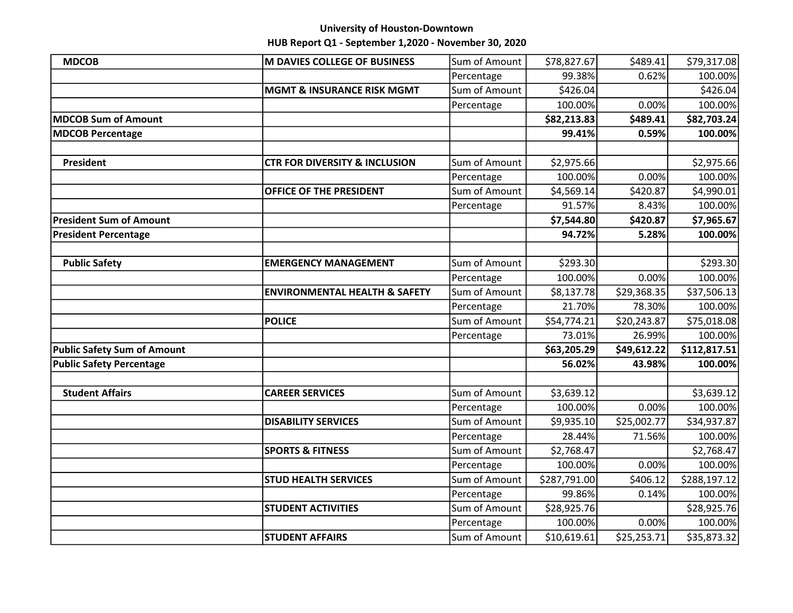| <b>MDCOB</b>                       | M DAVIES COLLEGE OF BUSINESS             | Sum of Amount | \$78,827.67  | \$489.41    | \$79,317.08  |
|------------------------------------|------------------------------------------|---------------|--------------|-------------|--------------|
|                                    |                                          | Percentage    | 99.38%       | 0.62%       | 100.00%      |
|                                    | <b>MGMT &amp; INSURANCE RISK MGMT</b>    | Sum of Amount | \$426.04     |             | \$426.04     |
|                                    |                                          | Percentage    | 100.00%      | 0.00%       | 100.00%      |
| MDCOB Sum of Amount                |                                          |               | \$82,213.83  | \$489.41    | \$82,703.24  |
| <b>MDCOB Percentage</b>            |                                          |               | 99.41%       | 0.59%       | 100.00%      |
|                                    |                                          |               |              |             |              |
| President                          | <b>CTR FOR DIVERSITY &amp; INCLUSION</b> | Sum of Amount | \$2,975.66   |             | \$2,975.66   |
|                                    |                                          | Percentage    | 100.00%      | 0.00%       | 100.00%      |
|                                    | <b>OFFICE OF THE PRESIDENT</b>           | Sum of Amount | \$4,569.14   | \$420.87    | \$4,990.01   |
|                                    |                                          | Percentage    | 91.57%       | 8.43%       | 100.00%      |
| <b>President Sum of Amount</b>     |                                          |               | \$7,544.80   | \$420.87    | \$7,965.67   |
| <b>President Percentage</b>        |                                          |               | 94.72%       | 5.28%       | 100.00%      |
|                                    |                                          |               |              |             |              |
| <b>Public Safety</b>               | <b>EMERGENCY MANAGEMENT</b>              | Sum of Amount | \$293.30     |             | \$293.30     |
|                                    |                                          | Percentage    | 100.00%      | 0.00%       | 100.00%      |
|                                    | <b>ENVIRONMENTAL HEALTH &amp; SAFETY</b> | Sum of Amount | \$8,137.78   | \$29,368.35 | \$37,506.13  |
|                                    |                                          | Percentage    | 21.70%       | 78.30%      | 100.00%      |
|                                    | <b>POLICE</b>                            | Sum of Amount | \$54,774.21  | \$20,243.87 | \$75,018.08  |
|                                    |                                          | Percentage    | 73.01%       | 26.99%      | 100.00%      |
| <b>Public Safety Sum of Amount</b> |                                          |               | \$63,205.29  | \$49,612.22 | \$112,817.51 |
| <b>Public Safety Percentage</b>    |                                          |               | 56.02%       | 43.98%      | 100.00%      |
|                                    |                                          |               |              |             |              |
| <b>Student Affairs</b>             | <b>CAREER SERVICES</b>                   | Sum of Amount | \$3,639.12   |             | \$3,639.12   |
|                                    |                                          | Percentage    | 100.00%      | 0.00%       | 100.00%      |
|                                    | <b>DISABILITY SERVICES</b>               | Sum of Amount | \$9,935.10   | \$25,002.77 | \$34,937.87  |
|                                    |                                          | Percentage    | 28.44%       | 71.56%      | 100.00%      |
|                                    | <b>SPORTS &amp; FITNESS</b>              | Sum of Amount | \$2,768.47   |             | \$2,768.47   |
|                                    |                                          | Percentage    | 100.00%      | 0.00%       | 100.00%      |
|                                    | <b>STUD HEALTH SERVICES</b>              | Sum of Amount | \$287,791.00 | \$406.12    | \$288,197.12 |
|                                    |                                          | Percentage    | 99.86%       | 0.14%       | 100.00%      |
|                                    | <b>STUDENT ACTIVITIES</b>                | Sum of Amount | \$28,925.76  |             | \$28,925.76  |
|                                    |                                          | Percentage    | 100.00%      | 0.00%       | 100.00%      |
|                                    | <b>STUDENT AFFAIRS</b>                   | Sum of Amount | \$10,619.61  | \$25,253.71 | \$35,873.32  |